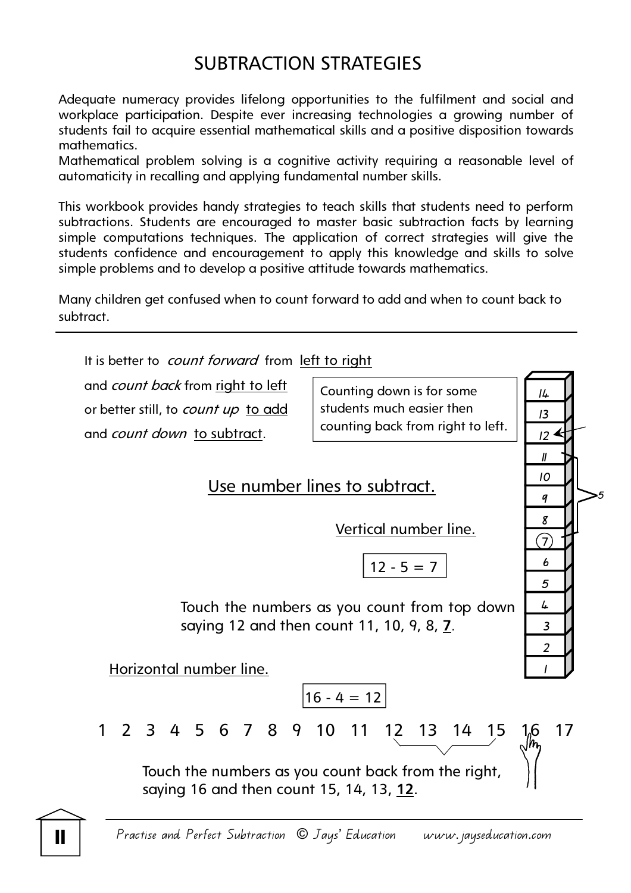# SUBTRACTION STRATEGIES

Adequate numeracy provides lifelong opportunities to the fulfilment and social and workplace participation. Despite ever increasing technologies a growing number of students fail to acquire essential mathematical skills and a positive disposition towards mathematics.

Mathematical problem solving is a cognitive activity requiring a reasonable level of automaticity in recalling and applying fundamental number skills.

This workbook provides handy strategies to teach skills that students need to perform subtractions. Students are encouraged to master basic subtraction facts by learning simple computations techniques. The application of correct strategies will give the students confidence and encouragement to apply this knowledge and skills to solve simple problems and to develop a positive attitude towards mathematics.

Many children get confused when to count forward to add and when to count back to subtract.

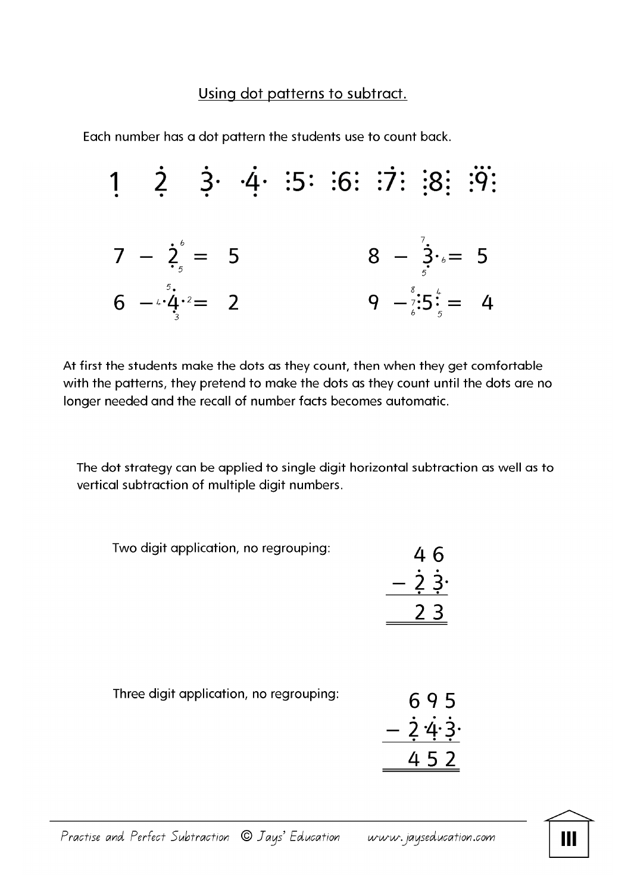#### Using dot patterns to subtract.

Each number has a dot pattern the students use to count back.



At first the students make the dots as they count, then when they get comfortable with the patterns, they pretend to make the dots as they count until the dots are no longer needed and the recall of number facts becomes automatic.

The dot strategy can be applied to single digit horizontal subtraction as well as to vertical subtraction of multiple digit numbers.

| Two digit application, no regrouping:   | 46<br>≾ |
|-----------------------------------------|---------|
| Three digit application, no regrouping: | 695     |

**III** Practise and Perfect Subtraction © Jays' Education www.jayseducation.com

4 5 2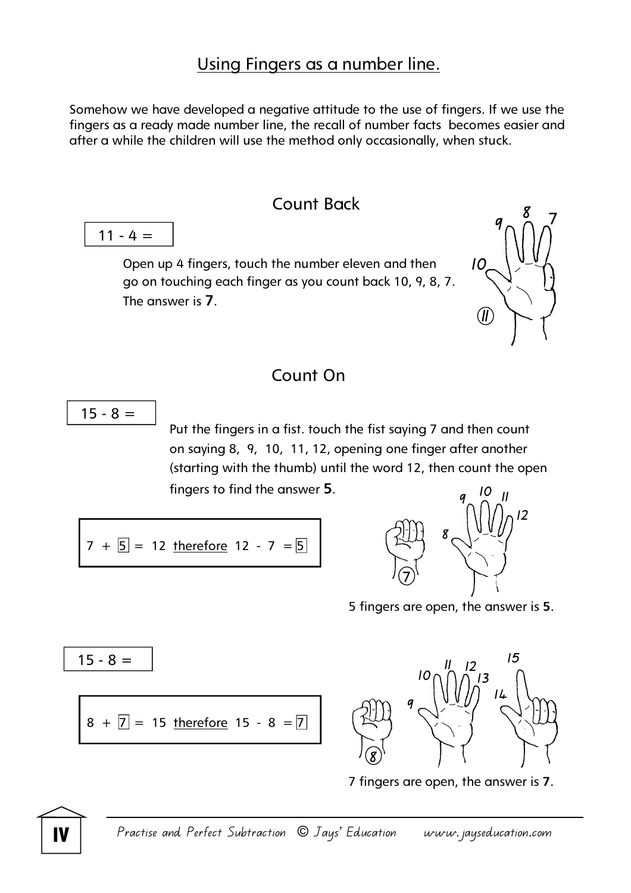### Using Fingers as a number line.

Somehow we have developed a negative attitude to the use of fingers. If we use the fingers as a ready made number line, the recall of number facts becomes easier and after a while the children will use the method only occasionally, when stuck.



$$
15 - 8 =
$$

 $11 - 4 =$ 

Put the fingers in a fist. touch the fist saying 7 and then count on saying 8, 9, 10, 11, 12, opening one finger after another (starting with the thumb) until the word 12, then count the open fingers to find the answer **5**.

$$
7 + 5 = 12
$$
 therefore  $12 - 7 = 5$ 



5 fingers are open, the answer is **5**.

$$
15 - 8 = \boxed{3 + 7} = 15 \text{ therefore } 15 - 8 = 7
$$



7 fingers are open, the answer is **7**.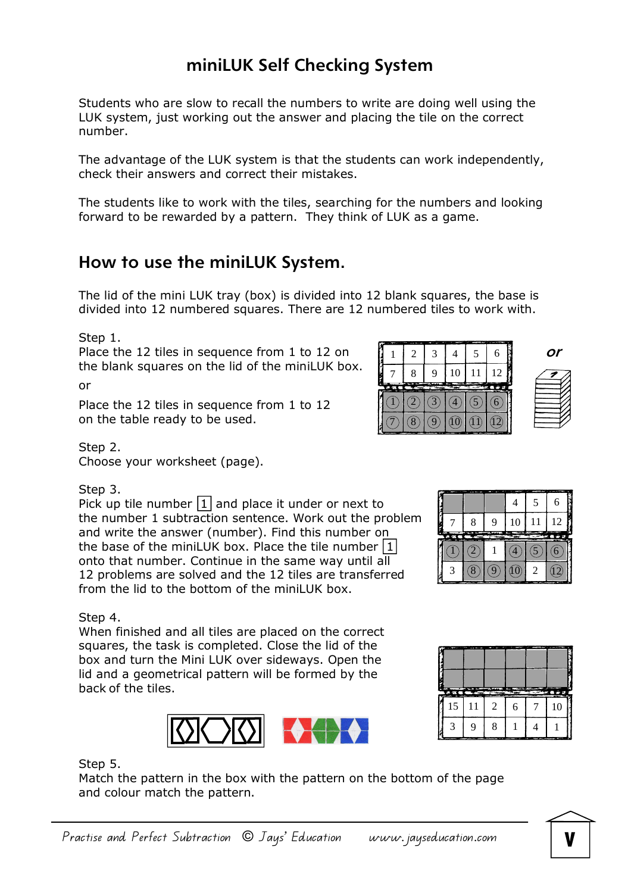## **miniLUK Self Checking System**

Students who are slow to recall the numbers to write are doing well using the LUK system, just working out the answer and placing the tile on the correct number.

The advantage of the LUK system is that the students can work independently, check their answers and correct their mistakes.

The students like to work with the tiles, searching for the numbers and looking forward to be rewarded by a pattern. They think of LUK as a game.

### **How to use the miniLUK System.**

The lid of the mini LUK tray (box) is divided into 12 blank squares, the base is divided into 12 numbered squares. There are 12 numbered tiles to work with.

Step 1.

Place the 12 tiles in sequence from 1 to 12 on the blank squares on the lid of the miniLUK box.

or

Place the 12 tiles in sequence from 1 to 12 on the table ready to be used.

Step 2. Choose your worksheet (page).

Step 3.

Pick up tile number  $|1|$  and place it under or next to the number 1 subtraction sentence. Work out the problem and write the answer (number). Find this number on the base of the miniLUK box. Place the tile number  $\boxed{1}$ onto that number. Continue in the same way until all 12 problems are solved and the 12 tiles are transferred from the lid to the bottom of the minil UK box.

Step 4.

When finished and all tiles are placed on the correct squares, the task is completed. Close the lid of the box and turn the Mini LUK over sideways. Open the lid and a geometrical pattern will be formed by the back of the tiles.



Step 5.

Match the pattern in the box with the pattern on the bottom of the page and colour match the pattern.



**or** 

|  |                |    |        | 5                        | 6      |
|--|----------------|----|--------|--------------------------|--------|
|  | 8              | 9  | 10     | 11                       | 12     |
|  |                |    | $   -$ |                          |        |
|  | $\overline{c}$ | ÷. | 4      | <b>Contract Contract</b> | œ<br>6 |